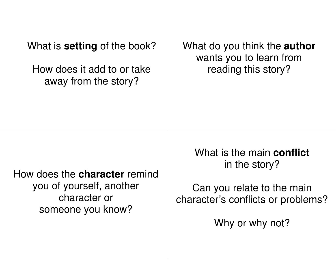| What is <b>setting</b> of the book?                                                                   | What do you think the <b>author</b>                                                                                                      |
|-------------------------------------------------------------------------------------------------------|------------------------------------------------------------------------------------------------------------------------------------------|
| How does it add to or take                                                                            | wants you to learn from                                                                                                                  |
| away from the story?                                                                                  | reading this story?                                                                                                                      |
| How does the <b>character</b> remind<br>you of yourself, another<br>character or<br>someone you know? | What is the main <b>conflict</b><br>in the story?<br>Can you relate to the main<br>character's conflicts or problems?<br>Why or why not? |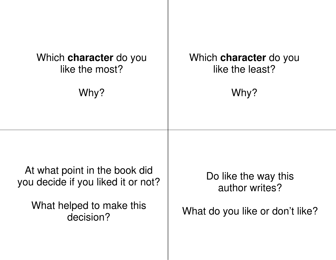| Which <b>character</b> do you                                                                                | Which <b>character</b> do you                                             |
|--------------------------------------------------------------------------------------------------------------|---------------------------------------------------------------------------|
| like the most?                                                                                               | like the least?                                                           |
| Why?                                                                                                         | Why?                                                                      |
| At what point in the book did<br>you decide if you liked it or not?<br>What helped to make this<br>decision? | Do like the way this<br>author writes?<br>What do you like or don't like? |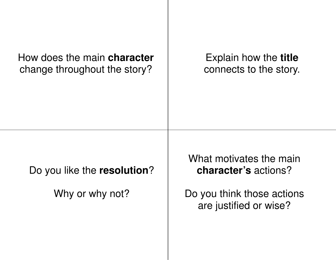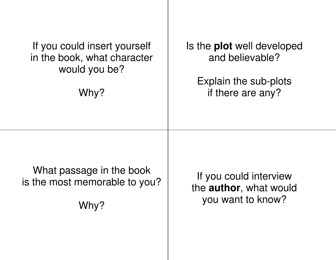| If you could insert yourself  | Is the <b>plot</b> well developed |
|-------------------------------|-----------------------------------|
| in the book, what character   | and believable?                   |
| would you be?                 | Explain the sub-plots             |
| Why?                          | if there are any?                 |
| What passage in the book      | If you could interview            |
| is the most memorable to you? | the author, what would            |
| Why?                          | you want to know?                 |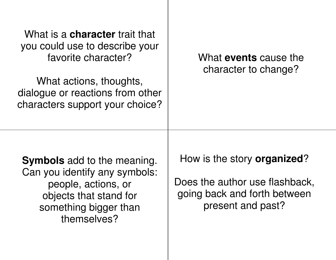| What is a <b>character</b> trait that<br>you could use to describe your<br>favorite character?<br>What actions, thoughts,<br>dialogue or reactions from other<br>characters support your choice? | What <b>events</b> cause the<br>character to change?                                                                       |
|--------------------------------------------------------------------------------------------------------------------------------------------------------------------------------------------------|----------------------------------------------------------------------------------------------------------------------------|
| <b>Symbols</b> add to the meaning.<br>Can you identify any symbols:<br>people, actions, or<br>objects that stand for<br>something bigger than<br>themselves?                                     | How is the story <b>organized</b> ?<br>Does the author use flashback,<br>going back and forth between<br>present and past? |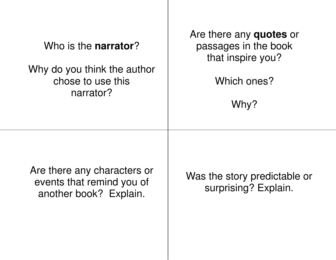| Who is the <b>narrator</b> ?<br>Why do you think the author<br>chose to use this<br>narrator? | Are there any quotes or<br>passages in the book<br>that inspire you?<br>Which ones?<br>Why? |
|-----------------------------------------------------------------------------------------------|---------------------------------------------------------------------------------------------|
| Are there any characters or<br>events that remind you of<br>another book? Explain.            | Was the story predictable or<br>surprising? Explain.                                        |